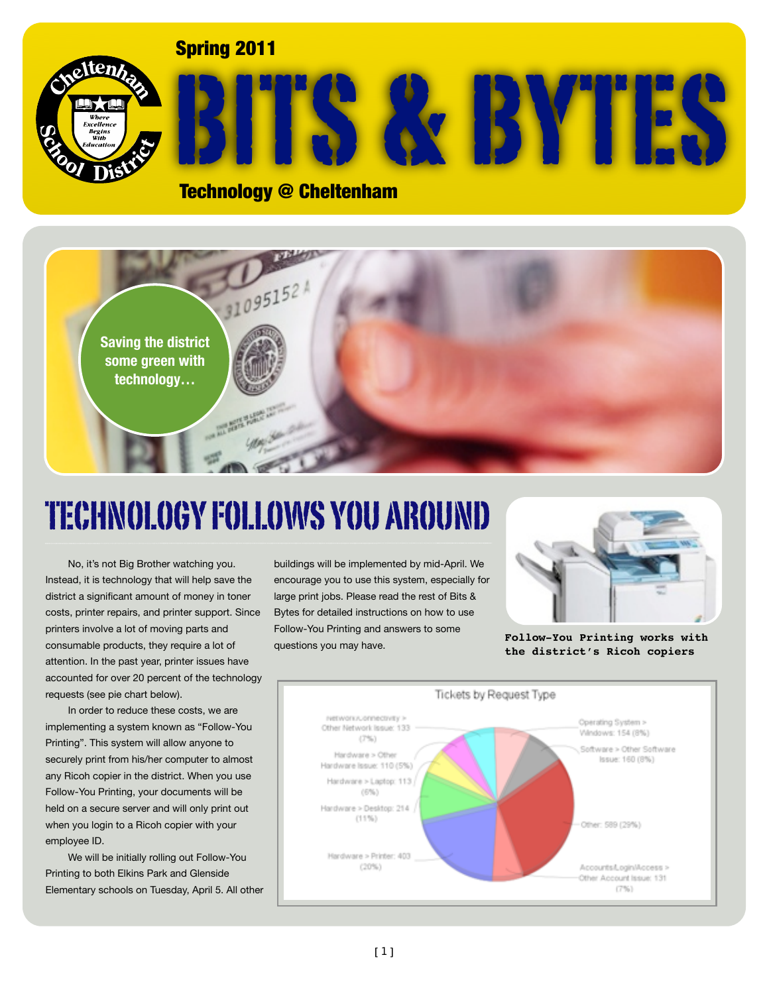#### Spring 2011



# BITS & BYTES

#### Technology @ Cheltenham



## TECHNOLOGY FOLLOWS YOU AROUND

No, it's not Big Brother watching you. Instead, it is technology that will help save the district a significant amount of money in toner costs, printer repairs, and printer support. Since printers involve a lot of moving parts and consumable products, they require a lot of attention. In the past year, printer issues have accounted for over 20 percent of the technology requests (see pie chart below).

In order to reduce these costs, we are implementing a system known as "Follow-You Printing". This system will allow anyone to securely print from his/her computer to almost any Ricoh copier in the district. When you use Follow-You Printing, your documents will be held on a secure server and will only print out when you login to a Ricoh copier with your employee ID.

We will be initially rolling out Follow-You Printing to both Elkins Park and Glenside Elementary schools on Tuesday, April 5. All other buildings will be implemented by mid-April. We encourage you to use this system, especially for large print jobs. Please read the rest of Bits & Bytes for detailed instructions on how to use Follow-You Printing and answers to some questions you may have.



**Follow-You Printing works with the district's Ricoh copiers**

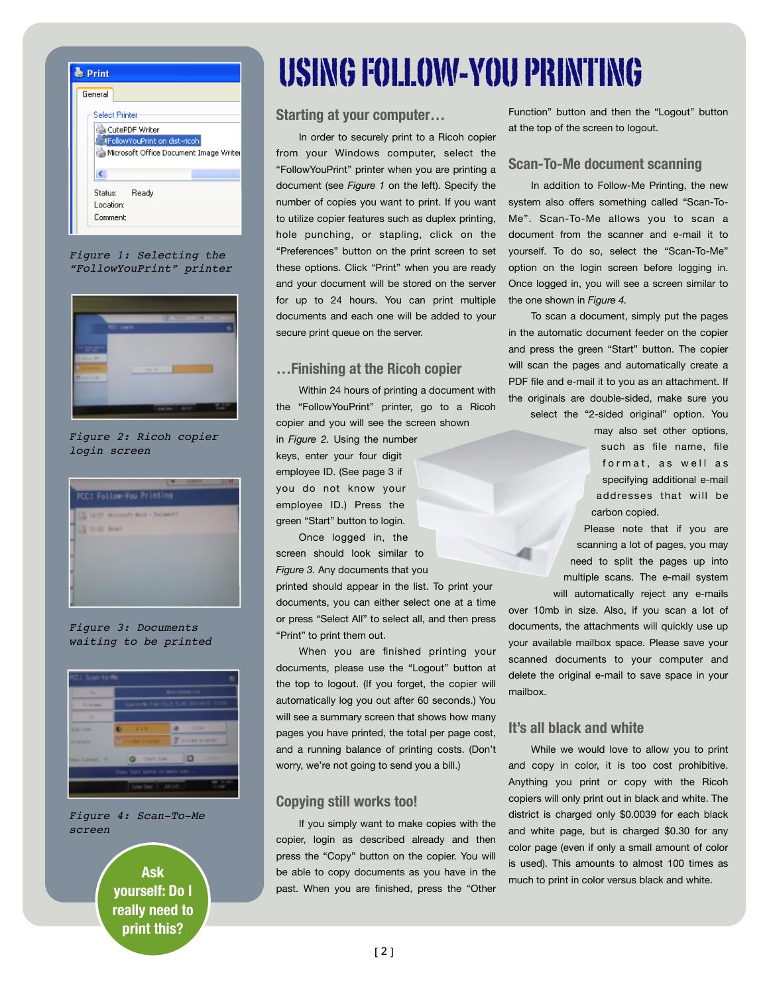

*Figure 1: Selecting the "FollowYouPrint" printer*



*Figure 2: Ricoh copier login screen*



*Figure 3: Documents waiting to be printed*



#### *Figure 4: Scan-To-Me screen*

**yourself: Do I really need to print this?**

## USING FOLLOW-YOU PRINTING

#### **Starting at your computer…**

In order to securely print to a Ricoh copier from your Windows computer, select the "FollowYouPrint" printer when you are printing a document (see *Figure 1* on the left). Specify the number of copies you want to print. If you want to utilize copier features such as duplex printing, hole punching, or stapling, click on the "Preferences" button on the print screen to set these options. Click "Print" when you are ready and your document will be stored on the server for up to 24 hours. You can print multiple documents and each one will be added to your secure print queue on the server.

#### **…Finishing at the Ricoh copier**

Within 24 hours of printing a document with the "FollowYouPrint" printer, go to a Ricoh copier and you will see the screen shown

in *Figure 2.* Using the number keys, enter your four digit employee ID. (See page 3 if you do not know your employee ID.) Press the green "Start" button to login.

Once logged in, the screen should look similar to *Figure 3.* Any documents that you

printed should appear in the list. To print your documents, you can either select one at a time or press "Select All" to select all, and then press "Print" to print them out.

When you are finished printing your documents, please use the "Logout" button at the top to logout. (If you forget, the copier will automatically log you out after 60 seconds.) You will see a summary screen that shows how many pages you have printed, the total per page cost, and a running balance of printing costs. (Don't worry, we're not going to send you a bill.)

#### **Copying still works too!**

If you simply want to make copies with the copier, login as described already and then press the "Copy" button on the copier. You will Ask be able to copy documents as you have in the much to print in color versus black and white. past. When you are finished, press the "Other

Function" button and then the "Logout" button at the top of the screen to logout.

#### **Scan-To-Me document scanning**

In addition to Follow-Me Printing, the new system also offers something called "Scan-To-Me". Scan-To-Me allows you to scan a document from the scanner and e-mail it to yourself. To do so, select the "Scan-To-Me" option on the login screen before logging in. Once logged in, you will see a screen similar to the one shown in *Figure 4.*

To scan a document, simply put the pages in the automatic document feeder on the copier and press the green "Start" button. The copier will scan the pages and automatically create a PDF file and e-mail it to you as an attachment. If the originals are double-sided, make sure you

select the "2-sided original" option. You

may also set other options, such as file name, file format, as well as specifying additional e-mail addresses that will be carbon copied.

Please note that if you are scanning a lot of pages, you may need to split the pages up into multiple scans. The e-mail system will automatically reject any e-mails

over 10mb in size. Also, if you scan a lot of documents, the attachments will quickly use up your available mailbox space. Please save your scanned documents to your computer and delete the original e-mail to save space in your mailbox.

#### **It's all black and white**

While we would love to allow you to print and copy in color, it is too cost prohibitive. Anything you print or copy with the Ricoh copiers will only print out in black and white. The district is charged only \$0.0039 for each black and white page, but is charged \$0.30 for any color page (even if only a small amount of color is used). This amounts to almost 100 times as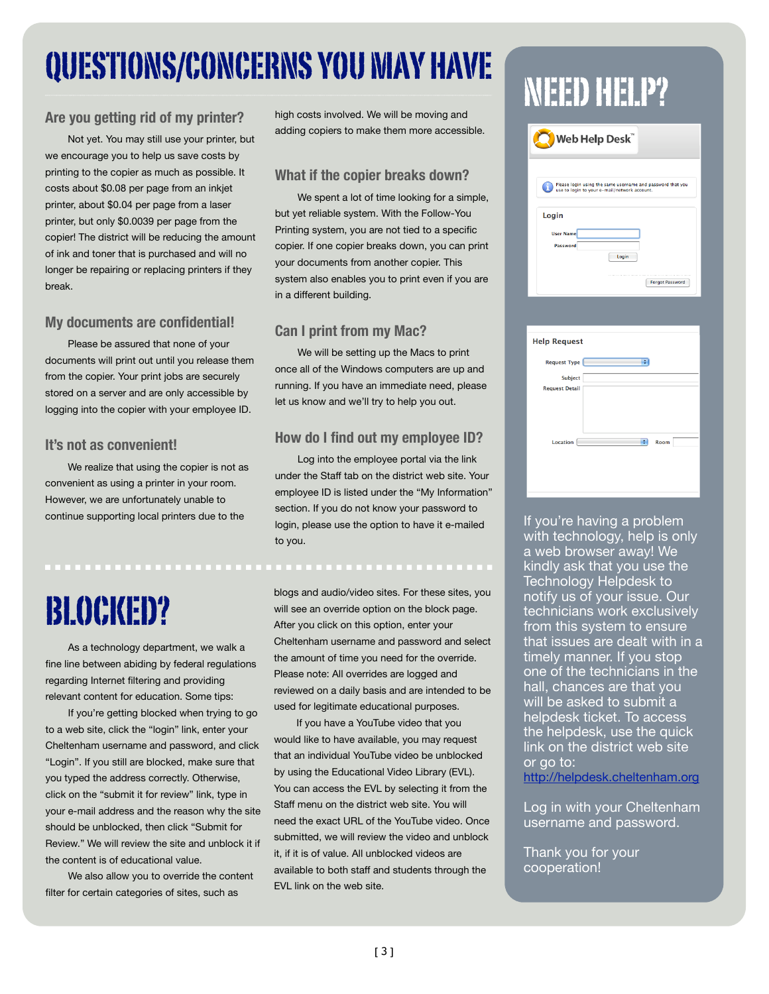## QUESTIONS/CONCERNS YOU WIAY HAVE NEED HELP?

#### **Are you getting rid of my printer?**

Not yet. You may still use your printer, but we encourage you to help us save costs by printing to the copier as much as possible. It costs about \$0.08 per page from an inkjet printer, about \$0.04 per page from a laser printer, but only \$0.0039 per page from the copier! The district will be reducing the amount of ink and toner that is purchased and will no longer be repairing or replacing printers if they break.

#### **My documents are confidential!**

Please be assured that none of your documents will print out until you release them from the copier. Your print jobs are securely stored on a server and are only accessible by logging into the copier with your employee ID.

#### **It's not as convenient!**

We realize that using the copier is not as convenient as using a printer in your room. However, we are unfortunately unable to continue supporting local printers due to the

## BLOCKED?

As a technology department, we walk a fine line between abiding by federal regulations regarding Internet filtering and providing relevant content for education. Some tips:

If you're getting blocked when trying to go to a web site, click the "login" link, enter your Cheltenham username and password, and click "Login". If you still are blocked, make sure that you typed the address correctly. Otherwise, click on the "submit it for review" link, type in your e-mail address and the reason why the site should be unblocked, then click "Submit for Review." We will review the site and unblock it if the content is of educational value.

We also allow you to override the content filter for certain categories of sites, such as

high costs involved. We will be moving and adding copiers to make them more accessible.

#### **What if the copier breaks down?**

We spent a lot of time looking for a simple, but yet reliable system. With the Follow-You Printing system, you are not tied to a specific copier. If one copier breaks down, you can print your documents from another copier. This system also enables you to print even if you are in a different building.

#### **Can I print from my Mac?**

We will be setting up the Macs to print once all of the Windows computers are up and running. If you have an immediate need, please let us know and we'll try to help you out.

#### **How do I find out my employee ID?**

Log into the employee portal via the link under the Staff tab on the district web site. Your employee ID is listed under the "My Information" section. If you do not know your password to login, please use the option to have it e-mailed to you.

blogs and audio/video sites. For these sites, you will see an override option on the block page. After you click on this option, enter your Cheltenham username and password and select the amount of time you need for the override. Please note: All overrides are logged and reviewed on a daily basis and are intended to be used for legitimate educational purposes.

If you have a YouTube video that you would like to have available, you may request that an individual YouTube video be unblocked by using the Educational Video Library (EVL). You can access the EVL by selecting it from the Staff menu on the district web site. You will need the exact URL of the YouTube video. Once submitted, we will review the video and unblock it, if it is of value. All unblocked videos are available to both staff and students through the EVL link on the web site.

| Web Help Desk"                                                                                             |                        |  |
|------------------------------------------------------------------------------------------------------------|------------------------|--|
| Please login using the same username and password that you<br>use to login to your e-mail/network account. |                        |  |
| Login                                                                                                      |                        |  |
| <b>User Name</b>                                                                                           |                        |  |
| Password                                                                                                   |                        |  |
|                                                                                                            | Login                  |  |
|                                                                                                            |                        |  |
|                                                                                                            | <b>Forgot Password</b> |  |
|                                                                                                            |                        |  |

| <b>Help Request</b>   |           |
|-----------------------|-----------|
| <b>Request Type</b>   | ÷         |
| <b>Subject</b>        |           |
| <b>Request Detail</b> |           |
| <b>Location</b>       | ÷<br>Room |

If you're having a problem with technology, help is only a web browser away! We kindly ask that you use the Technology Helpdesk to notify us of your issue. Our technicians work exclusively from this system to ensure that issues are dealt with in a timely manner. If you stop one of the technicians in the hall, chances are that you will be asked to submit a helpdesk ticket. To access the helpdesk, use the quick link on the district web site or go to:

<http://helpdesk.cheltenham.org>

Log in with your Cheltenham username and password.

Thank you for your cooperation!